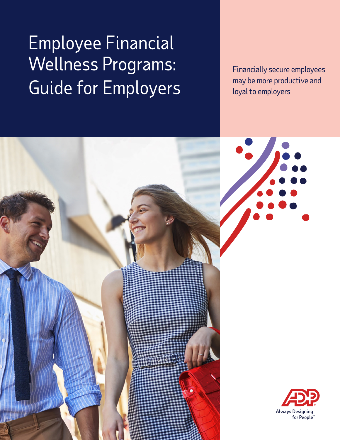# Employee Financial Wellness Programs: Guide for Employers

Financially secure employees may be more productive and loyal to employers



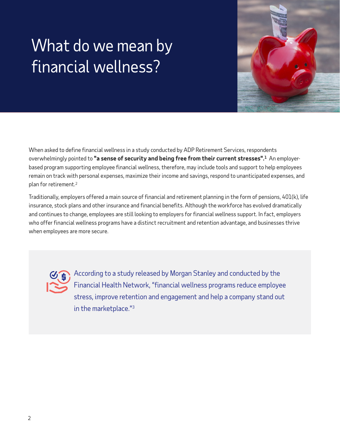# What do we mean by financial wellness?



When asked to define financial wellness in a study conducted by ADP Retirement Services, respondents overwhelmingly pointed to **"a sense of security and being free from their current stresses".1** An employerbased program supporting employee financial wellness, therefore, may include tools and support to help employees remain on track with personal expenses, maximize their income and savings, respond to unanticipated expenses, and plan for retirement.2

Traditionally, employers offered a main source of financial and retirement planning in the form of pensions, 401(k), life insurance, stock plans and other insurance and financial benefits. Although the workforce has evolved dramatically and continues to change, employees are still looking to employers for financial wellness support. In fact, employers who offer financial wellness programs have a distinct recruitment and retention advantage, and businesses thrive when employees are more secure.



According to a study released by Morgan Stanley and conducted by the Financial Health Network, "financial wellness programs reduce employee stress, improve retention and engagement and help a company stand out in the marketplace."3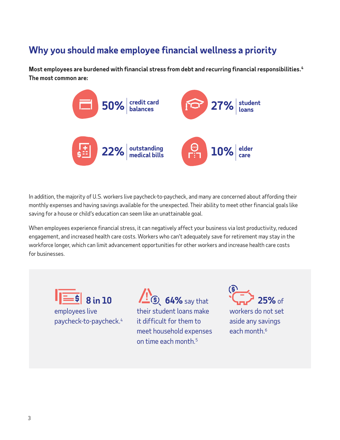### **Why you should make employee financial wellness a priority**

**Most employees are burdened with financial stress from debt and recurring financial responsibilities.<sup>4</sup> The most common are:** 



In addition, the majority of U.S. workers live paycheck-to-paycheck, and many are concerned about affording their monthly expenses and having savings available for the unexpected. Their ability to meet other financial goals like saving for a house or child's education can seem like an unattainable goal.

When employees experience financial stress, it can negatively affect your business via lost productivity, reduced engagement, and increased health care costs. Workers who can't adequately save for retirement may stay in the workforce longer, which can limit advancement opportunities for other workers and increase health care costs for businesses.



**1. (5) 64%** say that their student loans make it difficult for them to meet household expenses on time each month.5



workers do not set aside any savings each month.<sup>6</sup>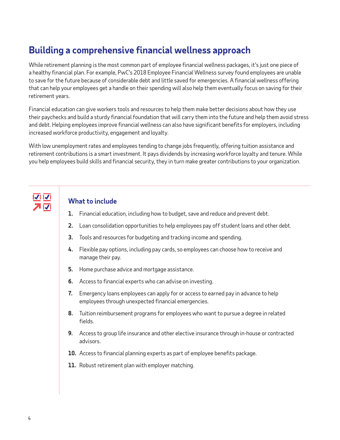## **Building a comprehensive financial wellness approach**

While retirement planning is the most common part of employee financial wellness packages, it's just one piece of a healthy financial plan. For example, PwC's 2018 Employee Financial Wellness survey found employees are unable to save for the future because of considerable debt and little saved for emergencies. A financial wellness offering that can help your employees get a handle on their spending will also help them eventually focus on saving for their retirement years.

Financial education can give workers tools and resources to help them make better decisions about how they use their paychecks and build a sturdy financial foundation that will carry them into the future and help them avoid stress and debt. Helping employees improve financial wellness can also have significant benefits for employers, including increased workforce productivity, engagement and loyalty.

With low unemployment rates and employees tending to change jobs frequently, offering tuition assistance and retirement contributions is a smart investment. It pays dividends by increasing workforce loyalty and tenure. While you help employees build skills and financial security, they in turn make greater contributions to your organization.

### **What to include**

- **1.** Financial education, including how to budget, save and reduce and prevent debt.
- **2.** Loan consolidation opportunities to help employees pay off student loans and other debt.
- **3.** Tools and resources for budgeting and tracking income and spending.
- **4.** Flexible pay options, including pay cards, so employees can choose how to receive and manage their pay.
- **5.** Home purchase advice and mortgage assistance.
- **6.** Access to financial experts who can advise on investing.
- **7.** Emergency loans employees can apply for or access to earned pay in advance to help employees through unexpected financial emergencies.
- **8.** Tuition reimbursement programs for employees who want to pursue a degree in related fields.
- **9.** Access to group life insurance and other elective insurance through in-house or contracted advisors.
- **10.** Access to financial planning experts as part of employee benefits package.
- **11.** Robust retirement plan with employer matching.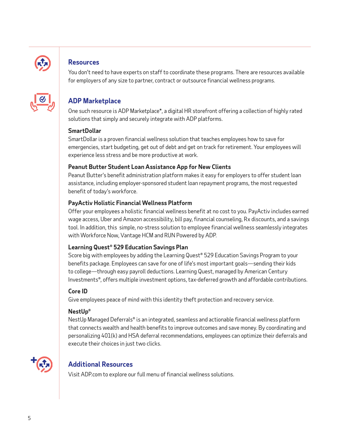

#### **Resources**

You don't need to have experts on staff to coordinate these programs. There are resources available for employers of any size to partner, contract or outsource financial wellness programs.



### **ADP Marketplace**

One such resource is ADP Marketplace\*, a digital HR storefront offering a collection of highly rated solutions that simply and securely integrate with ADP platforms.

#### **SmartDollar**

SmartDollar is a proven financial wellness solution that teaches employees how to save for emergencies, start budgeting, get out of debt and get on track for retirement. Your employees will experience less stress and be more productive at work.

#### **Peanut Butter Student Loan Assistance App for New Clients**

Peanut Butter's benefit administration platform makes it easy for employers to offer student loan assistance, including employer-sponsored student loan repayment programs, the most requested benefit of today's workforce.

#### **PayActiv Holistic Financial Wellness Platform**

Offer your employees a holistic financial wellness benefit at no cost to you. PayActiv includes earned wage access, Uber and Amazon accessibility, bill pay, financial counseling, Rx discounts, and a savings tool. In addition, this simple, no-stress solution to employee financial wellness seamlessly integrates with Workforce Now, Vantage HCM and RUN Powered by ADP.

#### **Learning Quest® 529 Education Savings Plan**

Score big with employees by adding the Learning Quest® 529 Education Savings Program to your benefits package. Employees can save for one of life's most important goals—sending their kids to college—through easy payroll deductions. Learning Quest, managed by American Century Investments®, offers multiple investment options, tax-deferred growth and affordable contributions.

#### **Core ID**

Give employees peace of mind with this identity theft protection and recovery service.

#### **NestUp®**

NestUp Managed Deferrals® is an integrated, seamless and actionable financial wellness platform that connects wealth and health benefits to improve outcomes and save money. By coordinating and personalizing 401(k) and HSA deferral recommendations, employees can optimize their deferrals and execute their choices in just two clicks.



#### **Additional Resources**

Visit ADP.com to explore our full menu of financial wellness solutions.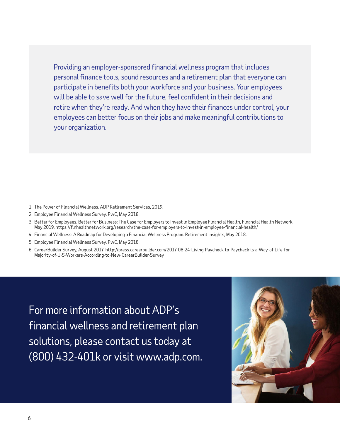Providing an employer-sponsored financial wellness program that includes personal finance tools, sound resources and a retirement plan that everyone can participate in benefits both your workforce and your business. Your employees will be able to save well for the future, feel confident in their decisions and retire when they're ready. And when they have their finances under control, your employees can better focus on their jobs and make meaningful contributions to your organization.

- 1 The Power of Financial Wellness. ADP Retirement Services, 2019.
- 2 Employee Financial Wellness Survey. PwC, May 2018.
- 3 [Better for Employees, Better for Business: The Case for Employers to Invest in Employee Financial Health, Financial Health Network,](https://finhealthnetwork.org/research/the-case-for-employers-to-invest-in-employee-financial-health/)  May 2019. https://finhealthnetwork.org/research/the-case-for-employers-to-invest-in-employee-financial-health/
- 4 Financial Wellness: A Roadmap for Developing a Financial Wellness Program. Retirement Insights, May 2018.
- 5 Employee Financial Wellness Survey. PwC, May 2018.
- 6 [CareerBuilder Survey, August 2017. http://press.careerbuilder.com/2017-08-24-Living-Paycheck-to-Paycheck-is-a-Way-of-Life-for](http://press.careerbuilder.com/2017-08-24-Living-Paycheck-to-Paycheck-is-a-Way-of-Life-for-Majority-of-U-S-Workers-According-to-New-CareerBuilder-Survey) Majority-of-U-S-Workers-According-to-New-CareerBuilder-Survey

For more information about ADP's financial wellness and retirement plan solutions, please contact us today at (800) 432-401k or visit [www.adp.com.](www.adp.com)